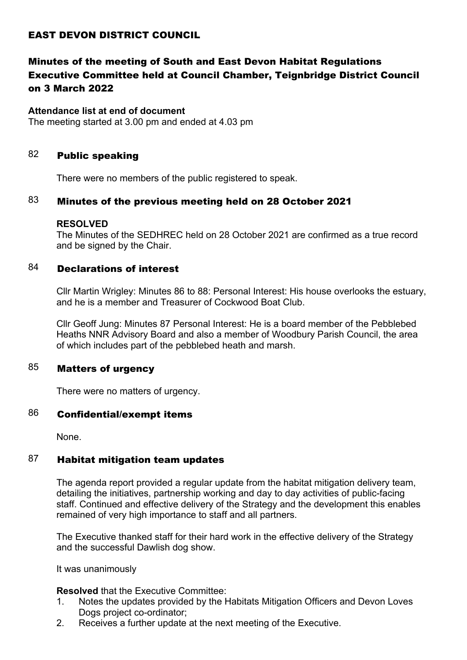## EAST DEVON DISTRICT COUNCIL

# Minutes of the meeting of South and East Devon Habitat Regulations Executive Committee held at Council Chamber, Teignbridge District Council on 3 March 2022

#### **Attendance list at end of document**

The meeting started at 3.00 pm and ended at 4.03 pm

### 82 **Public speaking**

There were no members of the public registered to speak.

### $83$  Minutes of the previous meeting held on 28 October 2021

#### **RESOLVED**

The Minutes of the SEDHREC held on 28 October 2021 are confirmed as a true record and be signed by the Chair.

### 84 Declarations of interest

Cllr Martin Wrigley: Minutes 86 to 88: Personal Interest: His house overlooks the estuary, and he is a member and Treasurer of Cockwood Boat Club.

Cllr Geoff Jung: Minutes 87 Personal Interest: He is a board member of the Pebblebed Heaths NNR Advisory Board and also a member of Woodbury Parish Council, the area of which includes part of the pebblebed heath and marsh.

## 85 Matters of urgency

There were no matters of urgency.

### 86 Confidential/exempt items

None.

### $87$  Habitat mitigation team updates

The agenda report provided a regular update from the habitat mitigation delivery team, detailing the initiatives, partnership working and day to day activities of public-facing staff. Continued and effective delivery of the Strategy and the development this enables remained of very high importance to staff and all partners.

The Executive thanked staff for their hard work in the effective delivery of the Strategy and the successful Dawlish dog show.

It was unanimously

**Resolved** that the Executive Committee:

- 1. Notes the updates provided by the Habitats Mitigation Officers and Devon Loves Dogs project co-ordinator;
- 2. Receives a further update at the next meeting of the Executive.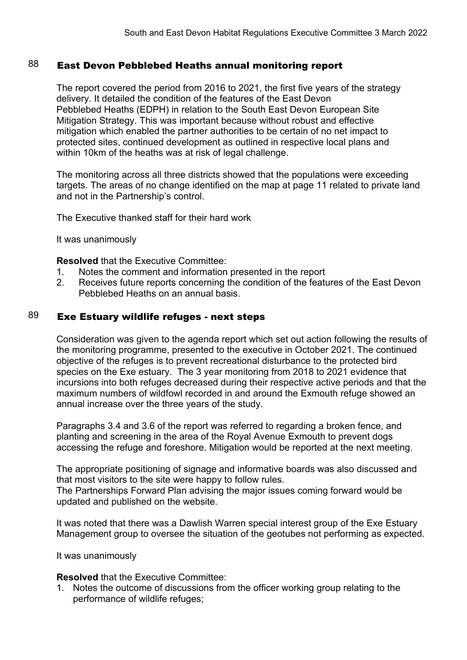## 88 East Devon Pebblebed Heaths annual monitoring report

The report covered the period from 2016 to 2021, the first five years of the strategy delivery. It detailed the condition of the features of the East Devon Pebblebed Heaths (EDPH) in relation to the South East Devon European Site Mitigation Strategy. This was important because without robust and effective mitigation which enabled the partner authorities to be certain of no net impact to protected sites, continued development as outlined in respective local plans and within 10km of the heaths was at risk of legal challenge.

The monitoring across all three districts showed that the populations were exceeding targets. The areas of no change identified on the map at page 11 related to private land and not in the Partnership's control.

The Executive thanked staff for their hard work

It was unanimously

**Resolved** that the Executive Committee:

- 1. Notes the comment and information presented in the report
- 2. Receives future reports concerning the condition of the features of the East Devon Pebblebed Heaths on an annual basis.

## $89$  Exe Estuary wildlife refuges - next steps

Consideration was given to the agenda report which set out action following the results of the monitoring programme, presented to the executive in October 2021. The continued objective of the refuges is to prevent recreational disturbance to the protected bird species on the Exe estuary. The 3 year monitoring from 2018 to 2021 evidence that incursions into both refuges decreased during their respective active periods and that the maximum numbers of wildfowl recorded in and around the Exmouth refuge showed an annual increase over the three years of the study.

Paragraphs 3.4 and 3.6 of the report was referred to regarding a broken fence, and planting and screening in the area of the Royal Avenue Exmouth to prevent dogs accessing the refuge and foreshore. Mitigation would be reported at the next meeting.

The appropriate positioning of signage and informative boards was also discussed and that most visitors to the site were happy to follow rules.

The Partnerships Forward Plan advising the major issues coming forward would be updated and published on the website.

It was noted that there was a Dawlish Warren special interest group of the Exe Estuary Management group to oversee the situation of the geotubes not performing as expected.

It was unanimously

**Resolved** that the Executive Committee:

1. Notes the outcome of discussions from the officer working group relating to the performance of wildlife refuges;